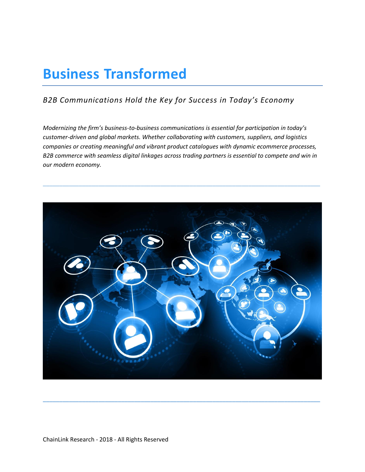# **Business Transformed**

## *B2B Communications Hold the Key for Success in Today's Economy*

*Modernizing the firm's business-to-business communications is essential for participation in today's customer-driven and global markets. Whether collaborating with customers, suppliers, and logistics companies or creating meaningful and vibrant product catalogues with dynamic ecommerce processes, B2B commerce with seamless digital linkages across trading partners is essential to compete and win in our modern economy.*

\_\_\_\_\_\_\_\_\_\_\_\_\_\_\_\_\_\_\_\_\_\_\_\_\_\_\_\_\_\_\_\_\_\_\_\_\_\_\_\_\_\_\_\_\_\_\_\_\_\_\_\_\_\_\_\_\_\_\_\_\_\_\_\_\_\_\_\_\_\_\_\_\_\_\_\_\_\_\_\_\_\_\_\_\_



**\_\_\_\_\_\_\_\_\_\_\_\_\_\_\_\_\_\_\_\_\_\_\_\_\_\_\_\_\_\_\_\_\_\_\_\_\_\_\_\_\_\_\_\_\_\_\_\_\_\_\_\_\_\_\_\_\_\_\_\_\_\_\_\_\_\_\_\_\_\_\_\_\_\_\_\_\_\_\_\_\_\_\_\_\_**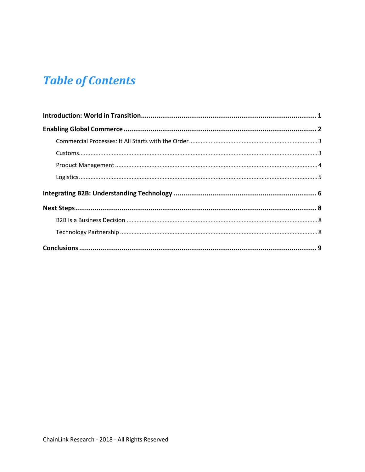# **Table of Contents**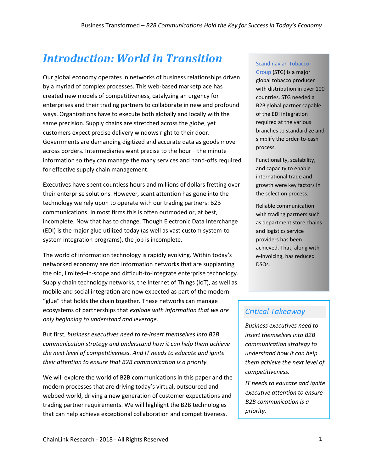# <span id="page-2-0"></span>*Introduction: World in Transition*

Our global economy operates in networks of business relationships driven by a myriad of complex processes. This web-based marketplace has created new models of competitiveness, catalyzing an urgency for enterprises and their trading partners to collaborate in new and profound ways. Organizations have to execute both globally and locally with the same precision. Supply chains are stretched across the globe, yet customers expect precise delivery windows right to their door. Governments are demanding digitized and accurate data as goods move across borders. Intermediaries want precise to the hour—the minute information so they can manage the many services and hand-offs required for effective supply chain management.

Executives have spent countless hours and millions of dollars fretting over their enterprise solutions. However, scant attention has gone into the technology we rely upon to operate with our trading partners: B2B communications. In most firms this is often outmoded or, at best, incomplete. Now that has to change. Though Electronic Data Interchange (EDI) is the major glue utilized today (as well as vast custom system-tosystem integration programs), the job is incomplete.

The world of information technology is rapidly evolving. Within today's networked economy are rich information networks that are supplanting the old, limited–in-scope and difficult-to-integrate enterprise technology. Supply chain technology networks, the Internet of Things (IoT), as well as mobile and social integration are now expected as part of the modern "glue" that holds the chain together. These networks can manage ecosystems of partnerships that *explode with information that we are only beginning to understand and leverage*.

But first, *business executives need to re-insert themselves into B2B communication strategy and understand how it can help them achieve the next level of competitiveness. And IT needs to educate and ignite their attention to ensure that B2B communication is a priority.*

<span id="page-2-1"></span>We will explore the world of B2B communications in this paper and the modern processes that are driving today's virtual, outsourced and webbed world, driving a new generation of customer expectations and trading partner requirements. We will highlight the B2B technologies that can help achieve exceptional collaboration and competitiveness.

#### [Scandinavian Tobacco](https://www.st-group.com/en)

[Group](https://www.st-group.com/en) (STG) is a major global tobacco producer with distribution in over 100 countries. STG needed a B2B global partner capable of the EDI integration required at the various branches to standardize and simplify the order-to-cash process.

Functionality, scalability, and capacity to enable international trade and growth were key factors in the selection process.

Reliable communication with trading partners such as department store chains and logistics service providers has been achieved. That, along with e-Invoicing, has reduced DSOs.

### *Critical Takeaway*

*Business executives need to insert themselves into B2B communication strategy to understand how it can help them achieve the next level of competitiveness.*

*IT needs to educate and ignite executive attention to ensure B2B communication is a priority.*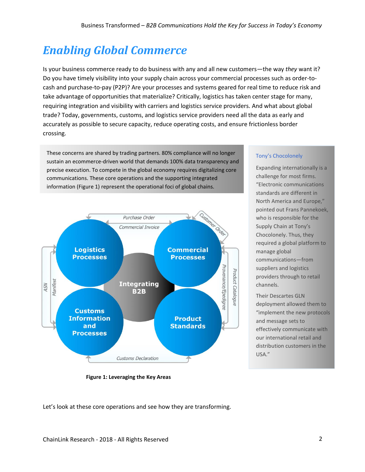# *Enabling Global Commerce*

Is your business commerce ready to do business with any and all new customers—the way *they* want it? Do you have timely visibility into your supply chain across your commercial processes such as order-tocash and purchase-to-pay (P2P)? Are your processes and systems geared for real time to reduce risk and take advantage of opportunities that materialize? Critically, logistics has taken center stage for many, requiring integration and visibility with carriers and logistics service providers. And what about global trade? Today, governments, customs, and logistics service providers need all the data as early and accurately as possible to secure capacity, reduce operating costs, and ensure frictionless border crossing.

These concerns are shared by trading partners. 80% compliance will no longer sustain an ecommerce-driven world that demands 100% data transparency and precise execution. To compete in the global economy requires digitalizing core communications. These core operations and the supporting integrated information (Figure 1) represent the operational foci of global chains.



 **Figure 1: Leveraging the Key Areas**

#### [Tony's Chocolonely](https://tonyschocolonely.com/nl/nl/onze-missie)

Expanding internationally is a challenge for most firms. "Electronic communications standards are different in North America and Europe," pointed out Frans Pannekoek, who is responsible for the Supply Chain at Tony's Chocolonely. Thus, they required a global platform to manage global communications—from suppliers and logistics providers through to retail channels.

Their Descartes GLN deployment allowed them to "implement the new protocols and message sets to effectively communicate with our international retail and distribution customers in the USA."

Let's look at these core operations and see how they are transforming.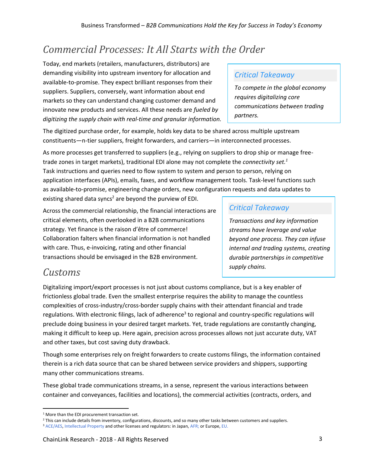## <span id="page-4-0"></span>*Commercial Processes: It All Starts with the Order*

Today, end markets (retailers, manufacturers, distributors) are demanding visibility into upstream inventory for allocation and available-to-promise. They expect brilliant responses from their suppliers. Suppliers, conversely, want information about end markets so they can understand changing customer demand and innovate new products and services. All these needs are *fueled by digitizing the supply chain with real-time and granular information.*

The digitized purchase order, for example, holds key data to be shared across multiple upstream constituents—n-tier suppliers, freight forwarders, and carriers—in interconnected processes.

As more processes get transferred to suppliers (e.g., relying on suppliers to drop ship or manage freetrade zones in target markets), traditional EDI alone may not complete the *connectivity set. 1* Task instructions and queries need to flow system to system and person to person, relying on application interfaces (APIs), emails, faxes, and workflow management tools. Task-level functions such as available-to-promise, engineering change orders, new configuration requests and data updates to existing shared data syncs<sup>2</sup> are beyond the purview of EDI.

Across the commercial relationship, the financial interactions are critical elements, often overlooked in a B2B communications strategy. Yet finance is the raison d'être of commerce! Collaboration falters when financial information is not handled with care. Thus, e-invoicing, rating and other financial transactions should be envisaged in the B2B environment.

### *Critical Takeaway*

*To compete in the global economy requires digitalizing core communications between trading partners.* 

### *Critical Takeaway*

*Transactions and key information streams have leverage and value beyond one process. They can infuse internal and trading systems, creating durable partnerships in competitive supply chains.* 

## <span id="page-4-1"></span>*Customs*

Digitalizing import/export processes is not just about customs compliance, but is a key enabler of frictionless global trade. Even the smallest enterprise requires the ability to manage the countless complexities of cross-industry/cross-border supply chains with their attendant financial and trade regulations. With electronic filings, lack of adherence<sup>3</sup> to regional and country-specific regulations will preclude doing business in your desired target markets. Yet, trade regulations are constantly changing, making it difficult to keep up. Here again, precision across processes allows not just accurate duty, VAT and other taxes, but cost saving duty drawback.

Though some enterprises rely on freight forwarders to create customs filings, the information contained therein is a rich data source that can be shared between service providers and shippers, supporting many other communications streams.

These global trade communications streams, in a sense, represent the various interactions between container and conveyances, facilities and locations), the commercial activities (contracts, orders, and

 $\overline{\phantom{a}}$ <sup>1</sup> More than the EDI procurement transaction set.

<sup>&</sup>lt;sup>2</sup> This can include details from inventory, configurations, discounts, and so many other tasks between customers and suppliers.

<sup>&</sup>lt;sup>3</sup> [ACE/AES,](https://www.cbp.gov/trade/automated) [Intellectual Property](https://iprr.cbp.gov/) and other licenses and regulators: in Japan[, AFR;](http://www.customs.go.jp/english/summary/advance/jizen_e.htm) or Europe, [EU.](https://ec.europa.eu/taxation_customs/home_en)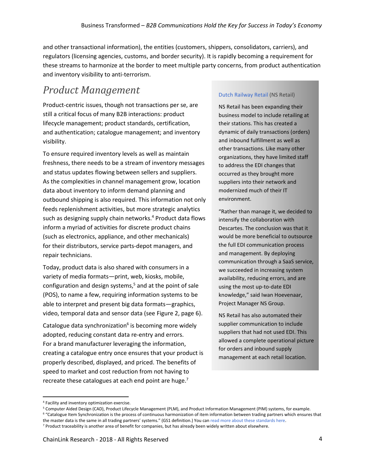and other transactional information), the entities (customers, shippers, consolidators, carriers), and regulators (licensing agencies, customs, and border security). It is rapidly becoming a requirement for these streams to harmonize at the border to meet multiple party concerns, from product authentication and inventory visibility to anti-terrorism.

## <span id="page-5-0"></span>*Product Management*

Product-centric issues, though not transactions per se, are still a critical focus of many B2B interactions: product lifecycle management; product standards, certification, and authentication; catalogue management; and inventory visibility.

To ensure required inventory levels as well as maintain freshness, there needs to be a stream of inventory messages and status updates flowing between sellers and suppliers. As the complexities in channel management grow, location data about inventory to inform demand planning and outbound shipping is also required. This information not only feeds replenishment activities, but more strategic analytics such as designing supply chain networks. <sup>4</sup> Product data flows inform a myriad of activities for discrete product chains (such as electronics, appliance, and other mechanicals) for their distributors, service parts-depot managers, and repair technicians.

Today, product data is also shared with consumers in a variety of media formats—print, web, kiosks, mobile, configuration and design systems, <sup>5</sup> and at the point of sale (POS), to name a few, requiring information systems to be able to interpret and present big data formats—graphics, video, temporal data and sensor data (see Figure 2, page 6).

Catalogue data synchronization<sup>6</sup> is becoming more widely adopted, reducing constant data re-entry and errors. For a brand manufacturer leveraging the information, creating a catalogue entry once ensures that your product is properly described, displayed, and priced. The benefits of speed to market and cost reduction from not having to recreate these catalogues at each end point are huge.<sup>7</sup>

#### [Dutch Railway Retail](http://retail.nsstations.nl/) (NS Retail)

NS Retail has been expanding their business model to include retailing at their stations. This has created a dynamic of daily transactions (orders) and inbound fulfillment as well as other transactions. Like many other organizations, they have limited staff to address the EDI changes that occurred as they brought more suppliers into their network and modernized much of their IT environment.

"Rather than manage it, we decided to intensify the collaboration with Descartes. The conclusion was that it would be more beneficial to outsource the full EDI communication process and management. By deploying communication through a SaaS service, we succeeded in increasing system availability, reducing errors, and are using the most up-to-date EDI knowledge," said Iwan Hoevenaar, Project Manager NS Group.

NS Retail has also automated their supplier communication to include suppliers that had not used EDI. This allowed a complete operational picture for orders and inbound supply management at each retail location.

<span id="page-5-1"></span>l <sup>4</sup> Facility and inventory optimization exercise.

<sup>5</sup> Computer Aided Design (CAD), Product Lifecycle Management (PLM), and Product Information Management (PIM) systems, for example.

<sup>6</sup> "Catalogue Item Synchronization is the process of continuous harmonization of item information between trading partners which ensures that the master data is the same in all trading partners' systems." (GS1 definition.) You can [read more about these standards here.](https://www.gs1.org/gdsn/gdsn-catalogue-item-sync/2-8)

<sup>7</sup> Product traceability is another area of benefit for companies, but has already been widely written about elsewhere.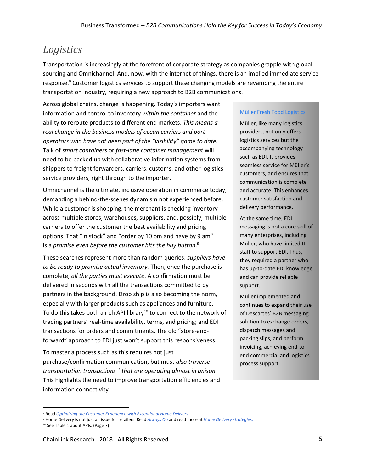## *Logistics*

Transportation is increasingly at the forefront of corporate strategy as companies grapple with global sourcing and Omnichannel. And, now, with the internet of things, there is an implied immediate service response.<sup>8</sup> Customer logistics services to support these changing models are revamping the entire transportation industry, requiring a new approach to B2B communications.

Across global chains, change is happening. Today's importers want information and control to inventory *within the container* and the ability to reroute products to different end markets. *This means a real change in the business models of ocean carriers and port operators who have not been part of the "visibility" game to date.*  Talk of *smart containers* or *fast-lane container management* will need to be backed up with collaborative information systems from shippers to freight forwarders, carriers, customs, and other logistics service providers, right through to the importer.

Omnichannel is the ultimate, inclusive operation in commerce today, demanding a behind-the-scenes dynamism not experienced before. While a customer is shopping, the merchant is checking inventory across multiple stores, warehouses, suppliers, and, possibly, multiple carriers to offer the customer the best availability and pricing options. That "in stock" and "order by 10 pm and have by 9 am" is a *promise even before the customer hits the buy button*. 9

These searches represent more than random queries: *suppliers have to be ready to promise actual inventory.* Then, once the purchase is complete, *all the parties must execute*. A confirmation must be delivered in seconds with all the transactions committed to by partners in the background. Drop ship is also becoming the norm, especially with larger products such as appliances and furniture. To do this takes both a rich API library<sup>10</sup> to connect to the network of trading partners' real-time availability, terms, and pricing; and EDI transactions for orders and commitments. The old "store-andforward" approach to EDI just won't support this responsiveness.

To master a process such as this requires not just purchase/confirmation communication, but must *also traverse transportation transactions<sup>11</sup> that are operating almost in unison*. This highlights the need to improve transportation efficiencies and information connectivity.

#### Mü[ller Fresh Food Logistics](https://www.muller.nl/?lang=en)

Müller, like many logistics providers, not only offers logistics services but the accompanying technology such as EDI. It provides seamless service for Müller's customers, and ensures that communication is complete and accurate. This enhances customer satisfaction and delivery performance.

At the same time, EDI messaging is not a core skill of many enterprises, including Müller, who have limited IT staff to support EDI. Thus, they required a partner who has up-to-date EDI knowledge and can provide reliable support.

Müller implemented and continues to expand their use of Descartes' B2B messaging solution to exchange orders, dispatch messages and packing slips, and perform invoicing, achieving end-toend commercial and logistics process support.

l

<sup>8</sup> Read *[Optimizing the Customer Experience](http://www.clresearch.com/research/detail.cfm?guid=755D1EFE-3048-78A9-2F22-B7F24E07D233) with Exceptional Home Delivery*.

<sup>9</sup> Home Delivery is not just an issue for retailers. Read *[Always On](http://www.clresearch.com/research/detail.cfm?guid=0CDAF8FD-3048-79ED-9998-F7E3708F1E1E)* and read more at *[Home Delivery strategies](http://www.chainlinkresearch.com/homedelivery/index.cfm)*.

<sup>10</sup> See Table 1 about APIs. (Page 7)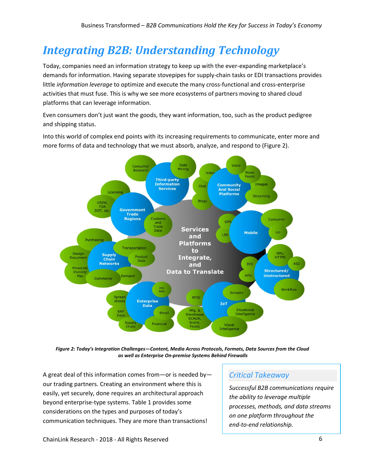# <span id="page-7-0"></span>*Integrating B2B: Understanding Technology*

Today, companies need an information strategy to keep up with the ever-expanding marketplace's demands for information. Having separate stovepipes for supply-chain tasks or EDI transactions provides little *information leverage* to optimize and execute the many cross-functional and cross-enterprise activities that must fuse. This is why we see more ecosystems of partners moving to shared cloud platforms that can leverage information.

Even consumers don't just want the goods, they want information, too, such as the product pedigree and shipping status.

Into this world of complex end points with its increasing requirements to communicate, enter more and more forms of data and technology that we must absorb, analyze, and respond to (Figure 2).



*Figure 2: Today's Integration Challenges—Content, Media Across Protocols, Formats, Data Sources from the Cloud as well as Enterprise On-premise Systems Behind Firewalls* 

A great deal of this information comes from—or is needed by our trading partners. Creating an environment where this is easily, yet securely, done requires an architectural approach beyond enterprise-type systems. Table 1 provides some considerations on the types and purposes of today's communication techniques. They are more than transactions!

### *Critical Takeaway*

*Successful B2B communications require the ability to leverage multiple processes, methods, and data streams on one platform throughout the end-to-end relationship.*

ChainLink Research - 2018 - All Rights Reserved 6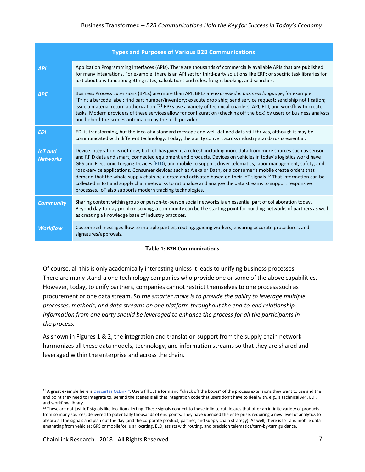| <b>Types and Purposes of Various B2B Communications</b> |                                                                                                                                                                                                                                                                                                                                                                                                                                                                                                                                                                                                                                                                                                                                                                                         |  |
|---------------------------------------------------------|-----------------------------------------------------------------------------------------------------------------------------------------------------------------------------------------------------------------------------------------------------------------------------------------------------------------------------------------------------------------------------------------------------------------------------------------------------------------------------------------------------------------------------------------------------------------------------------------------------------------------------------------------------------------------------------------------------------------------------------------------------------------------------------------|--|
| <b>API</b>                                              | Application Programming Interfaces (APIs). There are thousands of commercially available APIs that are published<br>for many integrations. For example, there is an API set for third-party solutions like ERP; or specific task libraries for<br>just about any function: getting rates, calculations and rules, freight booking, and searches.                                                                                                                                                                                                                                                                                                                                                                                                                                        |  |
| <b>BPE</b>                                              | Business Process Extensions (BPEs) are more than API. BPEs are expressed in business language, for example,<br>"Print a barcode label; find part number/inventory; execute drop ship; send service request; send ship notification;<br>issue a material return authorization." <sup>11</sup> BPEs use a variety of technical enablers, API, EDI, and workflow to create<br>tasks. Modern providers of these services allow for configuration (checking off the box) by users or business analysts<br>and behind-the-scenes automation by the tech provider.                                                                                                                                                                                                                             |  |
| <b>EDI</b>                                              | EDI is transforming, but the idea of a standard message and well-defined data still thrives, although it may be<br>communicated with different technology. Today, the ability convert across industry standards is essential.                                                                                                                                                                                                                                                                                                                                                                                                                                                                                                                                                           |  |
| <b>IoT</b> and<br><b>Networks</b>                       | Device integration is not new, but IoT has given it a refresh including more data from more sources such as sensor<br>and RFID data and smart, connected equipment and products. Devices on vehicles in today's logistics world have<br>GPS and Electronic Logging Devices (ELD), and mobile to support driver telematics, labor management, safety, and<br>road-service applications. Consumer devices such as Alexa or Dash, or a consumer's mobile create orders that<br>demand that the whole supply chain be alerted and activated based on their IoT signals. <sup>12</sup> That information can be<br>collected in IoT and supply chain networks to rationalize and analyze the data streams to support responsive<br>processes. IoT also supports modern tracking technologies. |  |
| <b>Community</b>                                        | Sharing content within group or person-to-person social networks is an essential part of collaboration today.<br>Beyond day-to-day problem solving, a community can be the starting point for building networks of partners as well<br>as creating a knowledge base of industry practices.                                                                                                                                                                                                                                                                                                                                                                                                                                                                                              |  |
| <b>Workflow</b>                                         | Customized messages flow to multiple parties, routing, guiding workers, ensuring accurate procedures, and<br>signatures/approvals.                                                                                                                                                                                                                                                                                                                                                                                                                                                                                                                                                                                                                                                      |  |

#### **Table 1: B2B Communications**

Of course, all this is only academically interesting unless it leads to unifying business processes. There are many stand-alone technology companies who provide one or some of the above capabilities. However, today, to unify partners, companies cannot restrict themselves to one process such as procurement or one data stream. So *the smarter move is to provide the ability to leverage multiple processes, methods, and data streams on one platform throughout the end-to-end relationship. Information from one party should be leveraged to enhance the process for all the participants in the process.* 

As shown in Figures 1 & 2, the integration and translation support from the supply chain network harmonizes all these data models, technology, and information streams so that they are shared and leveraged within the enterprise and across the chain.

 $\overline{a}$ 

<sup>11</sup> A great example here i[s Descartes OzLink](http://www.ozdevelopment.com/Solutions/)™. Users fill out a form and "check off the boxes" of the process extensions they want to use and the end point they need to integrate to. Behind the scenes is all that integration code that users don't have to deal with, e.g., a technical API, EDI, and workflow library.

<sup>&</sup>lt;sup>12</sup> These are not just IoT signals like location alerting. These signals connect to those infinite catalogues that offer an infinite variety of products from so many sources, delivered to potentially thousands of end points. They have upended the enterprise, requiring a new level of analytics to absorb all the signals and plan out the day (and the corporate product, partner, and supply chain strategy). As well, there is IoT and mobile data emanating from vehicles: GPS or mobile/cellular locating, ELD, assists with routing, and precision telematics/turn-by-turn guidance.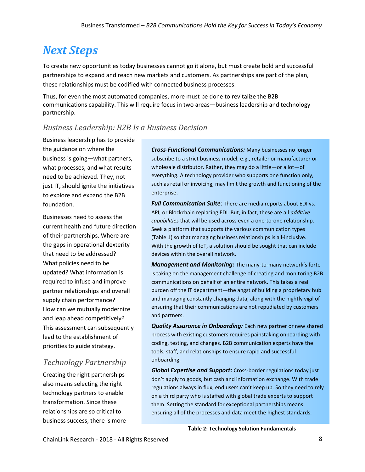# <span id="page-9-0"></span>*Next Steps*

To create new opportunities today businesses cannot go it alone, but must create bold and successful partnerships to expand and reach new markets and customers. As partnerships are part of the plan, these relationships must be codified with connected business processes.

Thus, for even the most automated companies, more must be done to revitalize the B2B communications capability. This will require focus in two areas—business leadership and technology partnership.

## <span id="page-9-1"></span>*Business Leadership: B2B Is a Business Decision*

Business leadership has to provide the guidance on where the business is going—what partners, what processes, and what results need to be achieved. They, not just IT, should ignite the initiatives to explore and expand the B2B foundation.

Businesses need to assess the current health and future direction of their partnerships. Where are the gaps in operational dexterity that need to be addressed? What policies need to be updated? What information is required to infuse and improve partner relationships and overall supply chain performance? How can we mutually modernize and leap ahead competitively? This assessment can subsequently lead to the establishment of priorities to guide strategy.

## <span id="page-9-2"></span>*Technology Partnership*

Creating the right partnerships also means selecting the right technology partners to enable transformation. Since these relationships are so critical to business success, there is more

*Cross-Functional Communications:* Many businesses no longer subscribe to a strict business model, e.g., retailer or manufacturer or wholesale distributor. Rather, they may do a little—or a lot—of everything. A technology provider who supports one function only, such as retail or invoicing, may limit the growth and functioning of the enterprise.

*Full Communication Suite*: There are media reports about EDI vs. API, or Blockchain replacing EDI. But, in fact, these are all *additive capabilities* that will be used across even a one-to-one relationship. Seek a platform that supports the various communication types (Table 1) so that managing business relationships is all-inclusive. With the growth of IoT, a solution should be sought that can include devices within the overall network.

*Management and Monitoring:* The many-to-many network's forte is taking on the management challenge of creating and monitoring B2B communications on behalf of an entire network. This takes a real burden off the IT department—the angst of building a proprietary hub and managing constantly changing data, along with the nightly vigil of ensuring that their communications are not repudiated by customers and partners.

*Quality Assurance in Onboarding:* Each new partner or new shared process with existing customers requires painstaking onboarding with coding, testing, and changes. B2B communication experts have the tools, staff, and relationships to ensure rapid and successful onboarding.

*Global Expertise and Support:* Cross-border regulations today just don't apply to goods, but cash and information exchange. With trade regulations always in flux, end users can't keep up. So they need to rely on a third party who is staffed with global trade experts to support them. Setting the standard for exceptional partnerships means ensuring all of the processes and data meet the highest standards.

**Table 2: Technology Solution Fundamentals**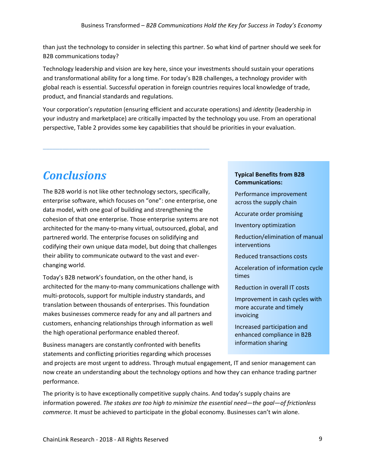than just the technology to consider in selecting this partner. So what kind of partner should we seek for B2B communications today?

Technology leadership and vision are key here, since your investments should sustain your operations and transformational ability for a long time. For today's B2B challenges, a technology provider with global reach is essential. Successful operation in foreign countries requires local knowledge of trade, product, and financial standards and regulations.

Your corporation's *reputation* (ensuring efficient and accurate operations) and *identity* (leadership in your industry and marketplace) are critically impacted by the technology you use. From an operational perspective, Table 2 provides some key capabilities that should be priorities in your evaluation.

# <span id="page-10-0"></span>*Conclusions*

The B2B world is not like other technology sectors, specifically, enterprise software, which focuses on "one": one enterprise, one data model, with one goal of building and strengthening the cohesion of that one enterprise. Those enterprise systems are not architected for the many-to-many virtual, outsourced, global, and partnered world. The enterprise focuses on solidifying and codifying their own unique data model, but doing that challenges their ability to communicate outward to the vast and everchanging world.

\_\_\_\_\_\_\_\_\_\_\_\_\_\_\_\_\_\_\_\_\_\_\_\_\_\_\_\_\_\_\_\_\_\_\_\_\_\_\_\_\_\_\_\_\_\_\_\_\_\_\_

Today's B2B network's foundation, on the other hand, is architected for the many-to-many communications challenge with multi-protocols, support for multiple industry standards, and translation between thousands of enterprises. This foundation makes businesses commerce ready for any and all partners and customers, enhancing relationships through information as well the high operational performance enabled thereof.

Business managers are constantly confronted with benefits statements and conflicting priorities regarding which processes

#### **Typical Benefits from B2B Communications:**

- Performance improvement across the supply chain
- Accurate order promising

Inventory optimization

- Reduction/elimination of manual interventions
- Reduced transactions costs
- Acceleration of information cycle times
- Reduction in overall IT costs
- Improvement in cash cycles with more accurate and timely invoicing
- Increased participation and enhanced compliance in B2B information sharing

and projects are most urgent to address. Through mutual engagement, IT and senior management can now create an understanding about the technology options and how they can enhance trading partner performance.

The priority is to have exceptionally competitive supply chains. And today's supply chains are information powered. *The stakes are too high to minimize the essential need—the goal—of frictionless commerce.* It *must* be achieved to participate in the global economy. Businesses can't win alone.